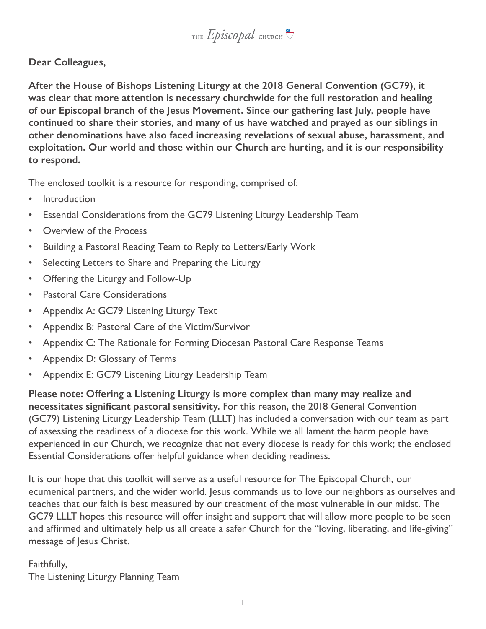

**Dear Colleagues,**

**After the House of Bishops Listening Liturgy at the 2018 General Convention (GC79), it was clear that more attention is necessary churchwide for the full restoration and healing of our Episcopal branch of the Jesus Movement. Since our gathering last July, people have continued to share their stories, and many of us have watched and prayed as our siblings in other denominations have also faced increasing revelations of sexual abuse, harassment, and exploitation. Our world and those within our Church are hurting, and it is our responsibility to respond.**

The enclosed toolkit is a resource for responding, comprised of:

- **Introduction**
- Essential Considerations from the GC79 Listening Liturgy Leadership Team
- Overview of the Process
- Building a Pastoral Reading Team to Reply to Letters/Early Work
- Selecting Letters to Share and Preparing the Liturgy
- Offering the Liturgy and Follow-Up
- Pastoral Care Considerations
- Appendix A: GC79 Listening Liturgy Text
- Appendix B: Pastoral Care of the Victim/Survivor
- Appendix C: The Rationale for Forming Diocesan Pastoral Care Response Teams
- Appendix D: Glossary of Terms
- Appendix E: GC79 Listening Liturgy Leadership Team

**Please note: Offering a Listening Liturgy is more complex than many may realize and necessitates significant pastoral sensitivity.** For this reason, the 2018 General Convention (GC79) Listening Liturgy Leadership Team (LLLT) has included a conversation with our team as part of assessing the readiness of a diocese for this work. While we all lament the harm people have experienced in our Church, we recognize that not every diocese is ready for this work; the enclosed Essential Considerations offer helpful guidance when deciding readiness.

It is our hope that this toolkit will serve as a useful resource for The Episcopal Church, our ecumenical partners, and the wider world. Jesus commands us to love our neighbors as ourselves and teaches that our faith is best measured by our treatment of the most vulnerable in our midst. The GC79 LLLT hopes this resource will offer insight and support that will allow more people to be seen and affirmed and ultimately help us all create a safer Church for the "loving, liberating, and life-giving" message of Jesus Christ.

# Faithfully,

The Listening Liturgy Planning Team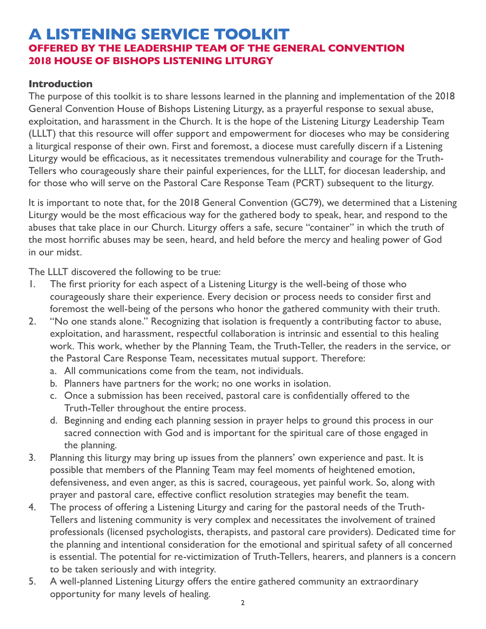# **A LISTENING SERVICE TOOLKIT OFFERED BY THE LEADERSHIP TEAM OF THE GENERAL CONVENTION 2018 HOUSE OF BISHOPS LISTENING LITURGY**

#### **Introduction**

The purpose of this toolkit is to share lessons learned in the planning and implementation of the 2018 General Convention House of Bishops Listening Liturgy, as a prayerful response to sexual abuse, exploitation, and harassment in the Church. It is the hope of the Listening Liturgy Leadership Team (LLLT) that this resource will offer support and empowerment for dioceses who may be considering a liturgical response of their own. First and foremost, a diocese must carefully discern if a Listening Liturgy would be efficacious, as it necessitates tremendous vulnerability and courage for the Truth-Tellers who courageously share their painful experiences, for the LLLT, for diocesan leadership, and for those who will serve on the Pastoral Care Response Team (PCRT) subsequent to the liturgy.

It is important to note that, for the 2018 General Convention (GC79), we determined that a Listening Liturgy would be the most efficacious way for the gathered body to speak, hear, and respond to the abuses that take place in our Church. Liturgy offers a safe, secure "container" in which the truth of the most horrific abuses may be seen, heard, and held before the mercy and healing power of God in our midst.

The LLLT discovered the following to be true:

- 1. The first priority for each aspect of a Listening Liturgy is the well-being of those who courageously share their experience. Every decision or process needs to consider first and foremost the well-being of the persons who honor the gathered community with their truth.
- 2. "No one stands alone." Recognizing that isolation is frequently a contributing factor to abuse, exploitation, and harassment, respectful collaboration is intrinsic and essential to this healing work. This work, whether by the Planning Team, the Truth-Teller, the readers in the service, or the Pastoral Care Response Team, necessitates mutual support. Therefore:
	- a. All communications come from the team, not individuals.
	- b. Planners have partners for the work; no one works in isolation.
	- c. Once a submission has been received, pastoral care is confidentially offered to the Truth-Teller throughout the entire process.
	- d. Beginning and ending each planning session in prayer helps to ground this process in our sacred connection with God and is important for the spiritual care of those engaged in the planning.
- 3. Planning this liturgy may bring up issues from the planners' own experience and past. It is possible that members of the Planning Team may feel moments of heightened emotion, defensiveness, and even anger, as this is sacred, courageous, yet painful work. So, along with prayer and pastoral care, effective conflict resolution strategies may benefit the team.
- 4. The process of offering a Listening Liturgy and caring for the pastoral needs of the Truth-Tellers and listening community is very complex and necessitates the involvement of trained professionals (licensed psychologists, therapists, and pastoral care providers). Dedicated time for the planning and intentional consideration for the emotional and spiritual safety of all concerned is essential. The potential for re-victimization of Truth-Tellers, hearers, and planners is a concern to be taken seriously and with integrity.
- 5. A well-planned Listening Liturgy offers the entire gathered community an extraordinary opportunity for many levels of healing.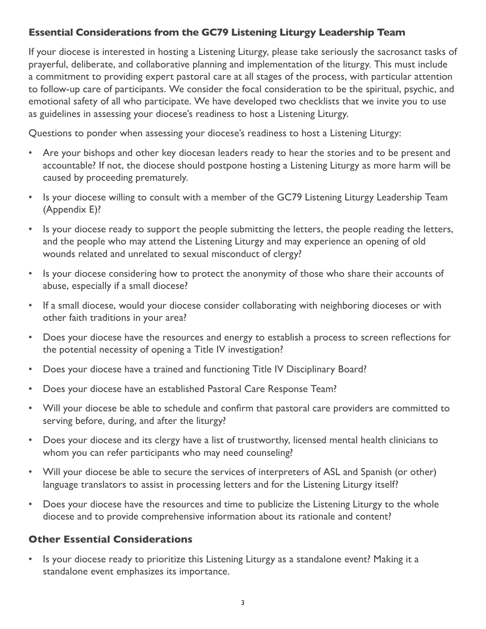# **Essential Considerations from the GC79 Listening Liturgy Leadership Team**

If your diocese is interested in hosting a Listening Liturgy, please take seriously the sacrosanct tasks of prayerful, deliberate, and collaborative planning and implementation of the liturgy. This must include a commitment to providing expert pastoral care at all stages of the process, with particular attention to follow-up care of participants. We consider the focal consideration to be the spiritual, psychic, and emotional safety of all who participate. We have developed two checklists that we invite you to use as guidelines in assessing your diocese's readiness to host a Listening Liturgy.

Questions to ponder when assessing your diocese's readiness to host a Listening Liturgy:

- Are your bishops and other key diocesan leaders ready to hear the stories and to be present and accountable? If not, the diocese should postpone hosting a Listening Liturgy as more harm will be caused by proceeding prematurely.
- Is your diocese willing to consult with a member of the GC79 Listening Liturgy Leadership Team (Appendix E)?
- Is your diocese ready to support the people submitting the letters, the people reading the letters, and the people who may attend the Listening Liturgy and may experience an opening of old wounds related and unrelated to sexual misconduct of clergy?
- Is your diocese considering how to protect the anonymity of those who share their accounts of abuse, especially if a small diocese?
- If a small diocese, would your diocese consider collaborating with neighboring dioceses or with other faith traditions in your area?
- Does your diocese have the resources and energy to establish a process to screen reflections for the potential necessity of opening a Title IV investigation?
- Does your diocese have a trained and functioning Title IV Disciplinary Board?
- Does your diocese have an established Pastoral Care Response Team?
- Will your diocese be able to schedule and confirm that pastoral care providers are committed to serving before, during, and after the liturgy?
- Does your diocese and its clergy have a list of trustworthy, licensed mental health clinicians to whom you can refer participants who may need counseling?
- Will your diocese be able to secure the services of interpreters of ASL and Spanish (or other) language translators to assist in processing letters and for the Listening Liturgy itself?
- Does your diocese have the resources and time to publicize the Listening Liturgy to the whole diocese and to provide comprehensive information about its rationale and content?

#### **Other Essential Considerations**

• Is your diocese ready to prioritize this Listening Liturgy as a standalone event? Making it a standalone event emphasizes its importance.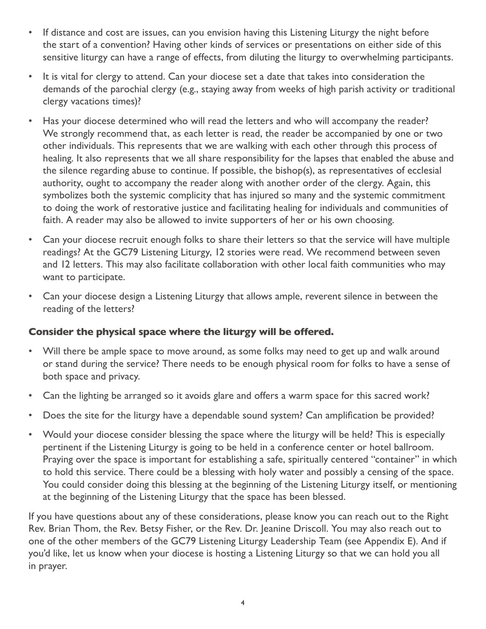- If distance and cost are issues, can you envision having this Listening Liturgy the night before the start of a convention? Having other kinds of services or presentations on either side of this sensitive liturgy can have a range of effects, from diluting the liturgy to overwhelming participants.
- It is vital for clergy to attend. Can your diocese set a date that takes into consideration the demands of the parochial clergy (e.g., staying away from weeks of high parish activity or traditional clergy vacations times)?
- Has your diocese determined who will read the letters and who will accompany the reader? We strongly recommend that, as each letter is read, the reader be accompanied by one or two other individuals. This represents that we are walking with each other through this process of healing. It also represents that we all share responsibility for the lapses that enabled the abuse and the silence regarding abuse to continue. If possible, the bishop(s), as representatives of ecclesial authority, ought to accompany the reader along with another order of the clergy. Again, this symbolizes both the systemic complicity that has injured so many and the systemic commitment to doing the work of restorative justice and facilitating healing for individuals and communities of faith. A reader may also be allowed to invite supporters of her or his own choosing.
- Can your diocese recruit enough folks to share their letters so that the service will have multiple readings? At the GC79 Listening Liturgy, 12 stories were read. We recommend between seven and 12 letters. This may also facilitate collaboration with other local faith communities who may want to participate.
- Can your diocese design a Listening Liturgy that allows ample, reverent silence in between the reading of the letters?

#### **Consider the physical space where the liturgy will be offered.**

- Will there be ample space to move around, as some folks may need to get up and walk around or stand during the service? There needs to be enough physical room for folks to have a sense of both space and privacy.
- Can the lighting be arranged so it avoids glare and offers a warm space for this sacred work?
- Does the site for the liturgy have a dependable sound system? Can amplification be provided?
- Would your diocese consider blessing the space where the liturgy will be held? This is especially pertinent if the Listening Liturgy is going to be held in a conference center or hotel ballroom. Praying over the space is important for establishing a safe, spiritually centered "container" in which to hold this service. There could be a blessing with holy water and possibly a censing of the space. You could consider doing this blessing at the beginning of the Listening Liturgy itself, or mentioning at the beginning of the Listening Liturgy that the space has been blessed.

If you have questions about any of these considerations, please know you can reach out to the Right Rev. Brian Thom, the Rev. Betsy Fisher, or the Rev. Dr. Jeanine Driscoll. You may also reach out to one of the other members of the GC79 Listening Liturgy Leadership Team (see Appendix E). And if you'd like, let us know when your diocese is hosting a Listening Liturgy so that we can hold you all in prayer.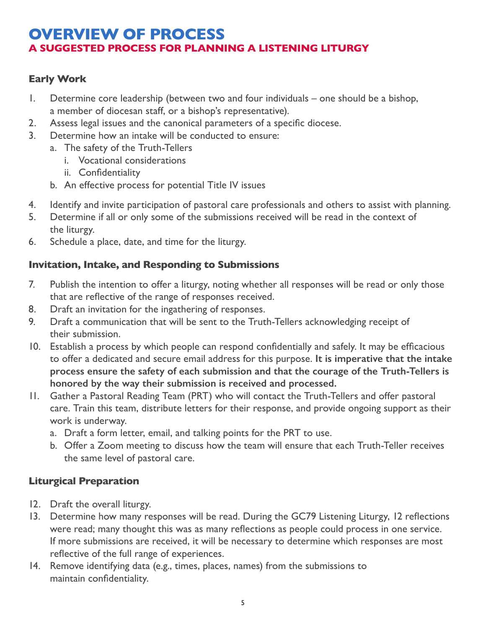# **OVERVIEW OF PROCESS A SUGGESTED PROCESS FOR PLANNING A LISTENING LITURGY**

# **Early Work**

- 1. Determine core leadership (between two and four individuals one should be a bishop, a member of diocesan staff, or a bishop's representative).
- 2. Assess legal issues and the canonical parameters of a specific diocese.
- 3. Determine how an intake will be conducted to ensure:
	- a. The safety of the Truth-Tellers
		- i. Vocational considerations
		- ii. Confidentiality
	- b. An effective process for potential Title IV issues
- 4. Identify and invite participation of pastoral care professionals and others to assist with planning.
- 5. Determine if all or only some of the submissions received will be read in the context of the liturgy.
- 6. Schedule a place, date, and time for the liturgy.

#### **Invitation, Intake, and Responding to Submissions**

- 7. Publish the intention to offer a liturgy, noting whether all responses will be read or only those that are reflective of the range of responses received.
- 8. Draft an invitation for the ingathering of responses.
- 9. Draft a communication that will be sent to the Truth-Tellers acknowledging receipt of their submission.
- 10. Establish a process by which people can respond confidentially and safely. It may be efficacious to offer a dedicated and secure email address for this purpose. **It is imperative that the intake process ensure the safety of each submission and that the courage of the Truth-Tellers is honored by the way their submission is received and processed.**
- 11. Gather a Pastoral Reading Team (PRT) who will contact the Truth-Tellers and offer pastoral care. Train this team, distribute letters for their response, and provide ongoing support as their work is underway.
	- a. Draft a form letter, email, and talking points for the PRT to use.
	- b. Offer a Zoom meeting to discuss how the team will ensure that each Truth-Teller receives the same level of pastoral care.

#### **Liturgical Preparation**

- 12. Draft the overall liturgy.
- 13. Determine how many responses will be read. During the GC79 Listening Liturgy, 12 reflections were read; many thought this was as many reflections as people could process in one service. If more submissions are received, it will be necessary to determine which responses are most reflective of the full range of experiences.
- 14. Remove identifying data (e.g., times, places, names) from the submissions to maintain confidentiality.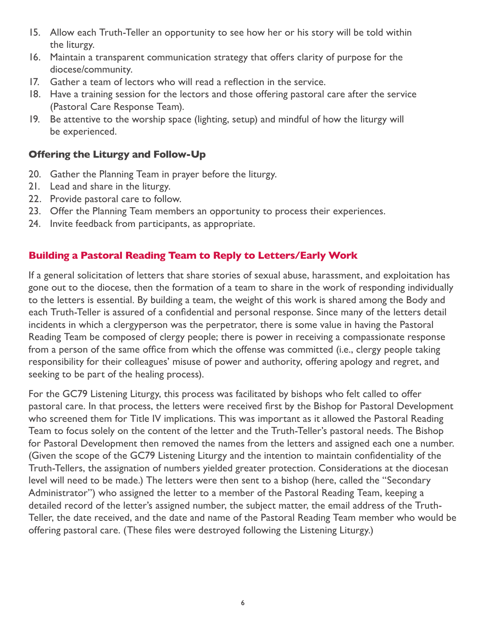- 15. Allow each Truth-Teller an opportunity to see how her or his story will be told within the liturgy.
- 16. Maintain a transparent communication strategy that offers clarity of purpose for the diocese/community.
- 17. Gather a team of lectors who will read a reflection in the service.
- 18. Have a training session for the lectors and those offering pastoral care after the service (Pastoral Care Response Team).
- 19. Be attentive to the worship space (lighting, setup) and mindful of how the liturgy will be experienced.

# **Offering the Liturgy and Follow-Up**

- 20. Gather the Planning Team in prayer before the liturgy.
- 21. Lead and share in the liturgy.
- 22. Provide pastoral care to follow.
- 23. Offer the Planning Team members an opportunity to process their experiences.
- 24. Invite feedback from participants, as appropriate.

#### **Building a Pastoral Reading Team to Reply to Letters/Early Work**

If a general solicitation of letters that share stories of sexual abuse, harassment, and exploitation has gone out to the diocese, then the formation of a team to share in the work of responding individually to the letters is essential. By building a team, the weight of this work is shared among the Body and each Truth-Teller is assured of a confidential and personal response. Since many of the letters detail incidents in which a clergyperson was the perpetrator, there is some value in having the Pastoral Reading Team be composed of clergy people; there is power in receiving a compassionate response from a person of the same office from which the offense was committed (i.e., clergy people taking responsibility for their colleagues' misuse of power and authority, offering apology and regret, and seeking to be part of the healing process).

For the GC79 Listening Liturgy, this process was facilitated by bishops who felt called to offer pastoral care. In that process, the letters were received first by the Bishop for Pastoral Development who screened them for Title IV implications. This was important as it allowed the Pastoral Reading Team to focus solely on the content of the letter and the Truth-Teller's pastoral needs. The Bishop for Pastoral Development then removed the names from the letters and assigned each one a number. (Given the scope of the GC79 Listening Liturgy and the intention to maintain confidentiality of the Truth-Tellers, the assignation of numbers yielded greater protection. Considerations at the diocesan level will need to be made.) The letters were then sent to a bishop (here, called the "Secondary Administrator") who assigned the letter to a member of the Pastoral Reading Team, keeping a detailed record of the letter's assigned number, the subject matter, the email address of the Truth-Teller, the date received, and the date and name of the Pastoral Reading Team member who would be offering pastoral care. (These files were destroyed following the Listening Liturgy.)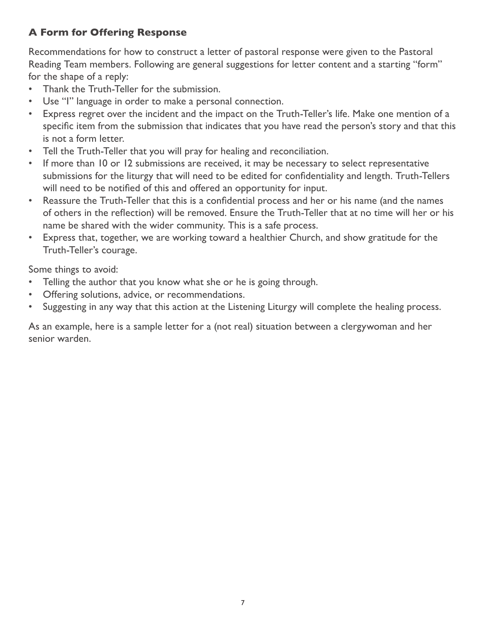# **A Form for Offering Response**

Recommendations for how to construct a letter of pastoral response were given to the Pastoral Reading Team members. Following are general suggestions for letter content and a starting "form" for the shape of a reply:

- Thank the Truth-Teller for the submission.
- Use "I" language in order to make a personal connection.
- Express regret over the incident and the impact on the Truth-Teller's life. Make one mention of a specific item from the submission that indicates that you have read the person's story and that this is not a form letter.
- Tell the Truth-Teller that you will pray for healing and reconciliation.
- If more than 10 or 12 submissions are received, it may be necessary to select representative submissions for the liturgy that will need to be edited for confidentiality and length. Truth-Tellers will need to be notified of this and offered an opportunity for input.
- Reassure the Truth-Teller that this is a confidential process and her or his name (and the names of others in the reflection) will be removed. Ensure the Truth-Teller that at no time will her or his name be shared with the wider community. This is a safe process.
- Express that, together, we are working toward a healthier Church, and show gratitude for the Truth-Teller's courage.

Some things to avoid:

- Telling the author that you know what she or he is going through.
- Offering solutions, advice, or recommendations.
- Suggesting in any way that this action at the Listening Liturgy will complete the healing process.

As an example, here is a sample letter for a (not real) situation between a clergywoman and her senior warden.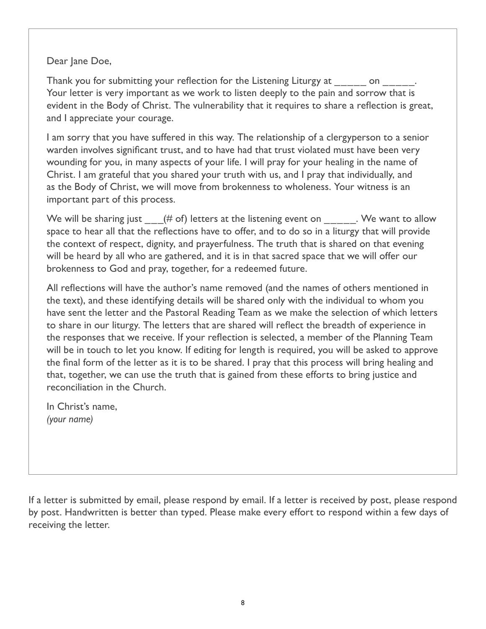#### Dear Jane Doe,

Thank you for submitting your reflection for the Listening Liturgy at on the submitting your reflection for the Listening Liturgy at  $\sim$ Your letter is very important as we work to listen deeply to the pain and sorrow that is evident in the Body of Christ. The vulnerability that it requires to share a reflection is great, and I appreciate your courage.

I am sorry that you have suffered in this way. The relationship of a clergyperson to a senior warden involves significant trust, and to have had that trust violated must have been very wounding for you, in many aspects of your life. I will pray for your healing in the name of Christ. I am grateful that you shared your truth with us, and I pray that individually, and as the Body of Christ, we will move from brokenness to wholeness. Your witness is an important part of this process.

We will be sharing just  $(4/1)$  of) letters at the listening event on  $\blacksquare$ . We want to allow space to hear all that the reflections have to offer, and to do so in a liturgy that will provide the context of respect, dignity, and prayerfulness. The truth that is shared on that evening will be heard by all who are gathered, and it is in that sacred space that we will offer our brokenness to God and pray, together, for a redeemed future.

All reflections will have the author's name removed (and the names of others mentioned in the text), and these identifying details will be shared only with the individual to whom you have sent the letter and the Pastoral Reading Team as we make the selection of which letters to share in our liturgy. The letters that are shared will reflect the breadth of experience in the responses that we receive. If your reflection is selected, a member of the Planning Team will be in touch to let you know. If editing for length is required, you will be asked to approve the final form of the letter as it is to be shared. I pray that this process will bring healing and that, together, we can use the truth that is gained from these efforts to bring justice and reconciliation in the Church.

In Christ's name, *(your name)*

If a letter is submitted by email, please respond by email. If a letter is received by post, please respond by post. Handwritten is better than typed. Please make every effort to respond within a few days of receiving the letter.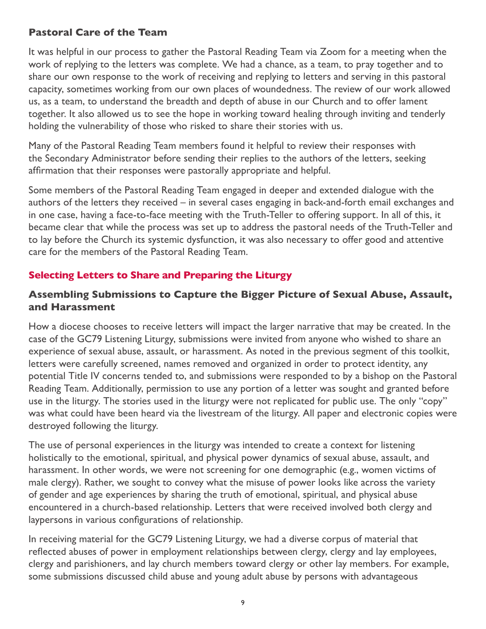#### **Pastoral Care of the Team**

It was helpful in our process to gather the Pastoral Reading Team via Zoom for a meeting when the work of replying to the letters was complete. We had a chance, as a team, to pray together and to share our own response to the work of receiving and replying to letters and serving in this pastoral capacity, sometimes working from our own places of woundedness. The review of our work allowed us, as a team, to understand the breadth and depth of abuse in our Church and to offer lament together. It also allowed us to see the hope in working toward healing through inviting and tenderly holding the vulnerability of those who risked to share their stories with us.

Many of the Pastoral Reading Team members found it helpful to review their responses with the Secondary Administrator before sending their replies to the authors of the letters, seeking affirmation that their responses were pastorally appropriate and helpful.

Some members of the Pastoral Reading Team engaged in deeper and extended dialogue with the authors of the letters they received – in several cases engaging in back-and-forth email exchanges and in one case, having a face-to-face meeting with the Truth-Teller to offering support. In all of this, it became clear that while the process was set up to address the pastoral needs of the Truth-Teller and to lay before the Church its systemic dysfunction, it was also necessary to offer good and attentive care for the members of the Pastoral Reading Team.

#### **Selecting Letters to Share and Preparing the Liturgy**

#### **Assembling Submissions to Capture the Bigger Picture of Sexual Abuse, Assault, and Harassment**

How a diocese chooses to receive letters will impact the larger narrative that may be created. In the case of the GC79 Listening Liturgy, submissions were invited from anyone who wished to share an experience of sexual abuse, assault, or harassment. As noted in the previous segment of this toolkit, letters were carefully screened, names removed and organized in order to protect identity, any potential Title IV concerns tended to, and submissions were responded to by a bishop on the Pastoral Reading Team. Additionally, permission to use any portion of a letter was sought and granted before use in the liturgy. The stories used in the liturgy were not replicated for public use. The only "copy" was what could have been heard via the livestream of the liturgy. All paper and electronic copies were destroyed following the liturgy.

The use of personal experiences in the liturgy was intended to create a context for listening holistically to the emotional, spiritual, and physical power dynamics of sexual abuse, assault, and harassment. In other words, we were not screening for one demographic (e.g., women victims of male clergy). Rather, we sought to convey what the misuse of power looks like across the variety of gender and age experiences by sharing the truth of emotional, spiritual, and physical abuse encountered in a church-based relationship. Letters that were received involved both clergy and laypersons in various configurations of relationship.

In receiving material for the GC79 Listening Liturgy, we had a diverse corpus of material that reflected abuses of power in employment relationships between clergy, clergy and lay employees, clergy and parishioners, and lay church members toward clergy or other lay members. For example, some submissions discussed child abuse and young adult abuse by persons with advantageous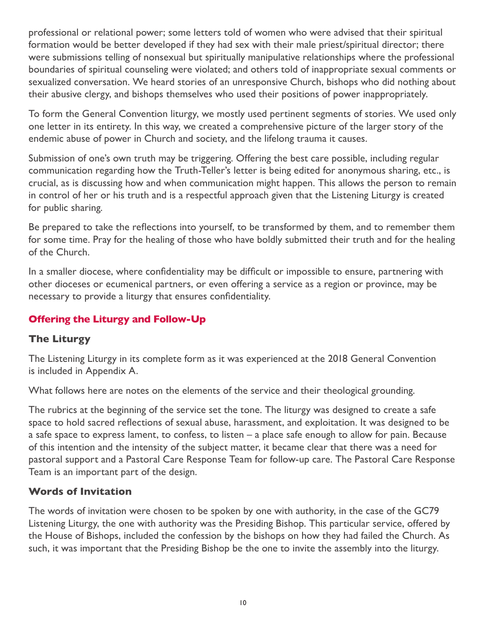professional or relational power; some letters told of women who were advised that their spiritual formation would be better developed if they had sex with their male priest/spiritual director; there were submissions telling of nonsexual but spiritually manipulative relationships where the professional boundaries of spiritual counseling were violated; and others told of inappropriate sexual comments or sexualized conversation. We heard stories of an unresponsive Church, bishops who did nothing about their abusive clergy, and bishops themselves who used their positions of power inappropriately.

To form the General Convention liturgy, we mostly used pertinent segments of stories. We used only one letter in its entirety. In this way, we created a comprehensive picture of the larger story of the endemic abuse of power in Church and society, and the lifelong trauma it causes.

Submission of one's own truth may be triggering. Offering the best care possible, including regular communication regarding how the Truth-Teller's letter is being edited for anonymous sharing, etc., is crucial, as is discussing how and when communication might happen. This allows the person to remain in control of her or his truth and is a respectful approach given that the Listening Liturgy is created for public sharing.

Be prepared to take the reflections into yourself, to be transformed by them, and to remember them for some time. Pray for the healing of those who have boldly submitted their truth and for the healing of the Church.

In a smaller diocese, where confidentiality may be difficult or impossible to ensure, partnering with other dioceses or ecumenical partners, or even offering a service as a region or province, may be necessary to provide a liturgy that ensures confidentiality.

# **Offering the Liturgy and Follow-Up**

#### **The Liturgy**

The Listening Liturgy in its complete form as it was experienced at the 2018 General Convention is included in Appendix A.

What follows here are notes on the elements of the service and their theological grounding.

The rubrics at the beginning of the service set the tone. The liturgy was designed to create a safe space to hold sacred reflections of sexual abuse, harassment, and exploitation. It was designed to be a safe space to express lament, to confess, to listen – a place safe enough to allow for pain. Because of this intention and the intensity of the subject matter, it became clear that there was a need for pastoral support and a Pastoral Care Response Team for follow-up care. The Pastoral Care Response Team is an important part of the design.

#### **Words of Invitation**

The words of invitation were chosen to be spoken by one with authority, in the case of the GC79 Listening Liturgy, the one with authority was the Presiding Bishop. This particular service, offered by the House of Bishops, included the confession by the bishops on how they had failed the Church. As such, it was important that the Presiding Bishop be the one to invite the assembly into the liturgy.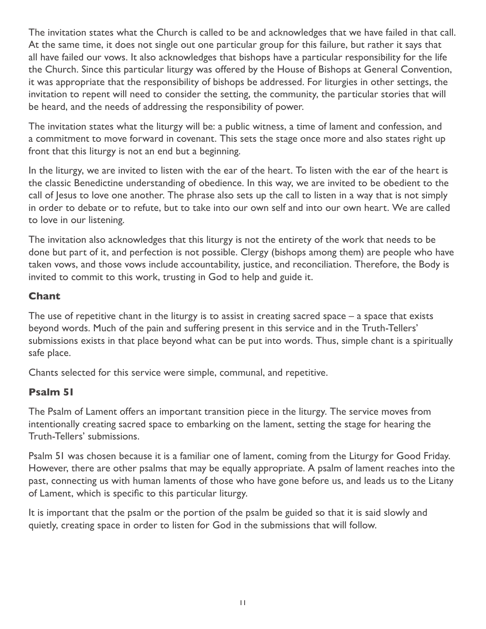The invitation states what the Church is called to be and acknowledges that we have failed in that call. At the same time, it does not single out one particular group for this failure, but rather it says that all have failed our vows. It also acknowledges that bishops have a particular responsibility for the life the Church. Since this particular liturgy was offered by the House of Bishops at General Convention, it was appropriate that the responsibility of bishops be addressed. For liturgies in other settings, the invitation to repent will need to consider the setting, the community, the particular stories that will be heard, and the needs of addressing the responsibility of power.

The invitation states what the liturgy will be: a public witness, a time of lament and confession, and a commitment to move forward in covenant. This sets the stage once more and also states right up front that this liturgy is not an end but a beginning.

In the liturgy, we are invited to listen with the ear of the heart. To listen with the ear of the heart is the classic Benedictine understanding of obedience. In this way, we are invited to be obedient to the call of Jesus to love one another. The phrase also sets up the call to listen in a way that is not simply in order to debate or to refute, but to take into our own self and into our own heart. We are called to love in our listening.

The invitation also acknowledges that this liturgy is not the entirety of the work that needs to be done but part of it, and perfection is not possible. Clergy (bishops among them) are people who have taken vows, and those vows include accountability, justice, and reconciliation. Therefore, the Body is invited to commit to this work, trusting in God to help and guide it.

# **Chant**

The use of repetitive chant in the liturgy is to assist in creating sacred space – a space that exists beyond words. Much of the pain and suffering present in this service and in the Truth-Tellers' submissions exists in that place beyond what can be put into words. Thus, simple chant is a spiritually safe place.

Chants selected for this service were simple, communal, and repetitive.

#### **Psalm 51**

The Psalm of Lament offers an important transition piece in the liturgy. The service moves from intentionally creating sacred space to embarking on the lament, setting the stage for hearing the Truth-Tellers' submissions.

Psalm 51 was chosen because it is a familiar one of lament, coming from the Liturgy for Good Friday. However, there are other psalms that may be equally appropriate. A psalm of lament reaches into the past, connecting us with human laments of those who have gone before us, and leads us to the Litany of Lament, which is specific to this particular liturgy.

It is important that the psalm or the portion of the psalm be guided so that it is said slowly and quietly, creating space in order to listen for God in the submissions that will follow.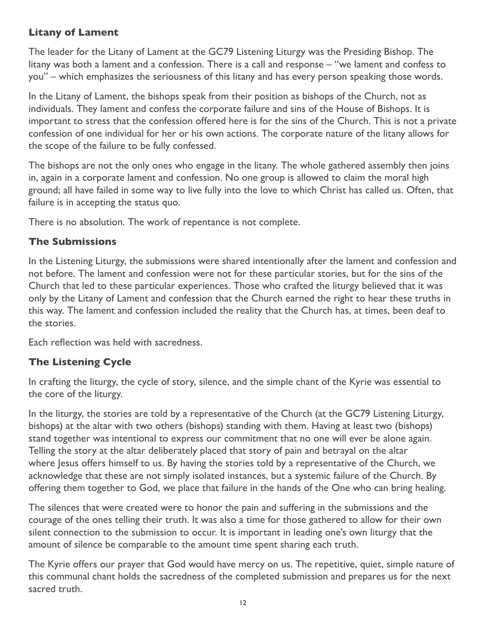# **Litany of Lament**

The leader for the Litany of Lament at the GC79 Listening Liturgy was the Presiding Bishop. The litany was both a lament and a confession. There is a call and response – "we lament and confess to you" – which emphasizes the seriousness of this litany and has every person speaking those words.

In the Litany of Lament, the bishops speak from their position as bishops of the Church, not as individuals. They lament and confess the corporate failure and sins of the House of Bishops. It is important to stress that the confession offered here is for the sins of the Church. This is not a private confession of one individual for her or his own actions. The corporate nature of the litany allows for the scope of the failure to be fully confessed.

The bishops are not the only ones who engage in the litany. The whole gathered assembly then joins in, again in a corporate lament and confession. No one group is allowed to claim the moral high ground; all have failed in some way to live fully into the love to which Christ has called us. Often, that failure is in accepting the status quo.

There is no absolution. The work of repentance is not complete.

# **The Submissions**

In the Listening Liturgy, the submissions were shared intentionally after the lament and confession and not before. The lament and confession were not for these particular stories, but for the sins of the Church that led to these particular experiences. Those who crafted the liturgy believed that it was only by the Litany of Lament and confession that the Church earned the right to hear these truths in this way. The lament and confession included the reality that the Church has, at times, been deaf to the stories.

Each reflection was held with sacredness.

# **The Listening Cycle**

In crafting the liturgy, the cycle of story, silence, and the simple chant of the Kyrie was essential to the core of the liturgy.

In the liturgy, the stories are told by a representative of the Church (at the GC79 Listening Liturgy, bishops) at the altar with two others (bishops) standing with them. Having at least two (bishops) stand together was intentional to express our commitment that no one will ever be alone again. Telling the story at the altar deliberately placed that story of pain and betrayal on the altar where Jesus offers himself to us. By having the stories told by a representative of the Church, we acknowledge that these are not simply isolated instances, but a systemic failure of the Church. By offering them together to God, we place that failure in the hands of the One who can bring healing.

The silences that were created were to honor the pain and suffering in the submissions and the courage of the ones telling their truth. It was also a time for those gathered to allow for their own silent connection to the submission to occur. It is important in leading one's own liturgy that the amount of silence be comparable to the amount time spent sharing each truth.

The Kyrie offers our prayer that God would have mercy on us. The repetitive, quiet, simple nature of this communal chant holds the sacredness of the completed submission and prepares us for the next sacred truth.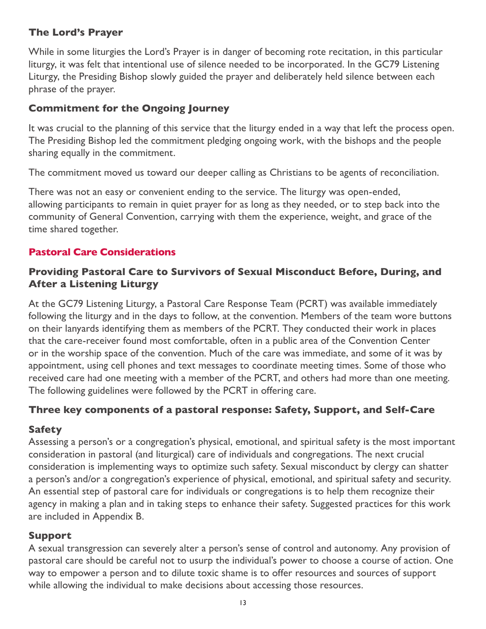#### **The Lord's Prayer**

While in some liturgies the Lord's Prayer is in danger of becoming rote recitation, in this particular liturgy, it was felt that intentional use of silence needed to be incorporated. In the GC79 Listening Liturgy, the Presiding Bishop slowly guided the prayer and deliberately held silence between each phrase of the prayer.

# **Commitment for the Ongoing Journey**

It was crucial to the planning of this service that the liturgy ended in a way that left the process open. The Presiding Bishop led the commitment pledging ongoing work, with the bishops and the people sharing equally in the commitment.

The commitment moved us toward our deeper calling as Christians to be agents of reconciliation.

There was not an easy or convenient ending to the service. The liturgy was open-ended, allowing participants to remain in quiet prayer for as long as they needed, or to step back into the community of General Convention, carrying with them the experience, weight, and grace of the time shared together.

# **Pastoral Care Considerations**

# **Providing Pastoral Care to Survivors of Sexual Misconduct Before, During, and After a Listening Liturgy**

At the GC79 Listening Liturgy, a Pastoral Care Response Team (PCRT) was available immediately following the liturgy and in the days to follow, at the convention. Members of the team wore buttons on their lanyards identifying them as members of the PCRT. They conducted their work in places that the care-receiver found most comfortable, often in a public area of the Convention Center or in the worship space of the convention. Much of the care was immediate, and some of it was by appointment, using cell phones and text messages to coordinate meeting times. Some of those who received care had one meeting with a member of the PCRT, and others had more than one meeting. The following guidelines were followed by the PCRT in offering care.

#### **Three key components of a pastoral response: Safety, Support, and Self-Care**

#### **Safety**

Assessing a person's or a congregation's physical, emotional, and spiritual safety is the most important consideration in pastoral (and liturgical) care of individuals and congregations. The next crucial consideration is implementing ways to optimize such safety. Sexual misconduct by clergy can shatter a person's and/or a congregation's experience of physical, emotional, and spiritual safety and security. An essential step of pastoral care for individuals or congregations is to help them recognize their agency in making a plan and in taking steps to enhance their safety. Suggested practices for this work are included in Appendix B.

#### **Support**

A sexual transgression can severely alter a person's sense of control and autonomy. Any provision of pastoral care should be careful not to usurp the individual's power to choose a course of action. One way to empower a person and to dilute toxic shame is to offer resources and sources of support while allowing the individual to make decisions about accessing those resources.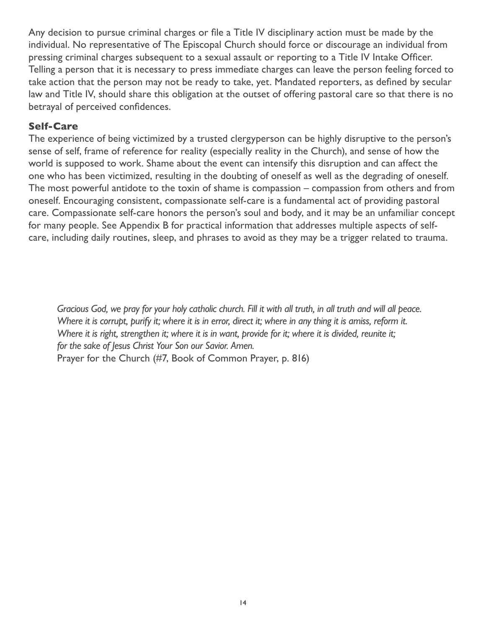Any decision to pursue criminal charges or file a Title IV disciplinary action must be made by the individual. No representative of The Episcopal Church should force or discourage an individual from pressing criminal charges subsequent to a sexual assault or reporting to a Title IV Intake Officer. Telling a person that it is necessary to press immediate charges can leave the person feeling forced to take action that the person may not be ready to take, yet. Mandated reporters, as defined by secular law and Title IV, should share this obligation at the outset of offering pastoral care so that there is no betrayal of perceived confidences.

#### **Self-Care**

The experience of being victimized by a trusted clergyperson can be highly disruptive to the person's sense of self, frame of reference for reality (especially reality in the Church), and sense of how the world is supposed to work. Shame about the event can intensify this disruption and can affect the one who has been victimized, resulting in the doubting of oneself as well as the degrading of oneself. The most powerful antidote to the toxin of shame is compassion – compassion from others and from oneself. Encouraging consistent, compassionate self-care is a fundamental act of providing pastoral care. Compassionate self-care honors the person's soul and body, and it may be an unfamiliar concept for many people. See Appendix B for practical information that addresses multiple aspects of selfcare, including daily routines, sleep, and phrases to avoid as they may be a trigger related to trauma.

*Gracious God, we pray for your holy catholic church. Fill it with all truth, in all truth and will all peace. Where it is corrupt, purify it; where it is in error, direct it; where in any thing it is amiss, reform it. Where it is right, strengthen it; where it is in want, provide for it; where it is divided, reunite it; for the sake of Jesus Christ Your Son our Savior. Amen.* Prayer for the Church (#7, Book of Common Prayer, p. 816)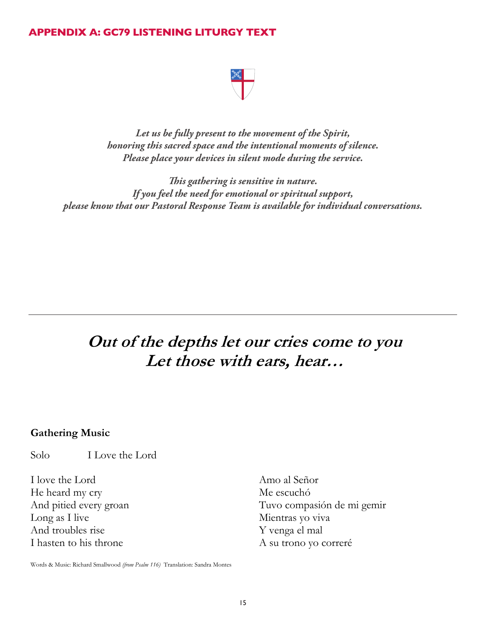#### **APPENDIX A: GC79 LISTENING LITURGY TEXT**

*Let us be fully present to the movement of the Spirit, honoring this sacred space and the intentional moments of silence. Please place your devices in silent mode during the service.*

*This gathering is sensitive in nature. If you feel the need for emotional or spiritual support, please know that our Pastoral Response Team is available for individual conversations.*

# **Out of the depths let our cries come to you Let those with ears, hear…**

#### **Gathering Music**

Solo I Love the Lord

I love the Lord He heard my cry And pitied every groan Long as I live And troubles rise I hasten to his throne

Amo al Señor Me escuchó Tuvo compasión de mi gemir Mientras yo viva Y venga el mal A su trono yo correré

Words & Music: Richard Smallwood *(from Psalm 116)* Translation: Sandra Montes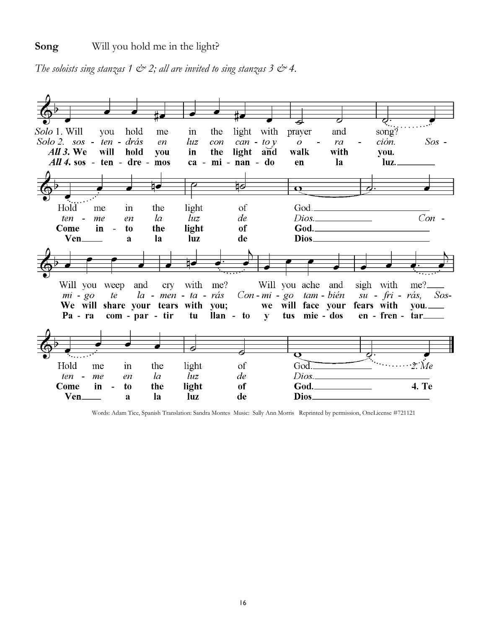*The soloists sing stanzas 1*  $\circledcirc$  *2; all are invited to sing stanzas 3*  $\circledcirc$  *4.* 



Words: Adam Tice, Spanish Translation: Sandra Montes Music: Sally Ann Morris Reprinted by permission, OneLicense #721121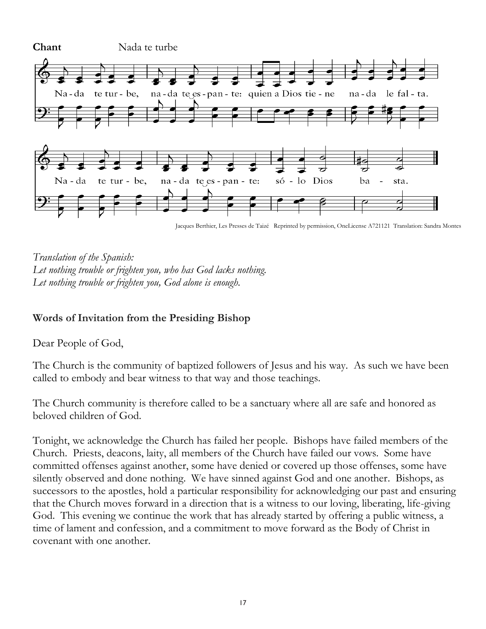

Jacques Berthier, Les Presses de Taizé Reprinted by permission, OneLicense A721121 Translation: Sandra Montes



# **Words of Invitation from the Presiding Bishop**

Dear People of God,

The Church is the community of baptized followers of Jesus and his way. As such we have been called to embody and bear witness to that way and those teachings.

The Church community is therefore called to be a sanctuary where all are safe and honored as beloved children of God.

Tonight, we acknowledge the Church has failed her people. Bishops have failed members of the Church. Priests, deacons, laity, all members of the Church have failed our vows. Some have committed offenses against another, some have denied or covered up those offenses, some have silently observed and done nothing. We have sinned against God and one another. Bishops, as successors to the apostles, hold a particular responsibility for acknowledging our past and ensuring that the Church moves forward in a direction that is a witness to our loving, liberating, life-giving God. This evening we continue the work that has already started by offering a public witness, a time of lament and confession, and a commitment to move forward as the Body of Christ in covenant with one another.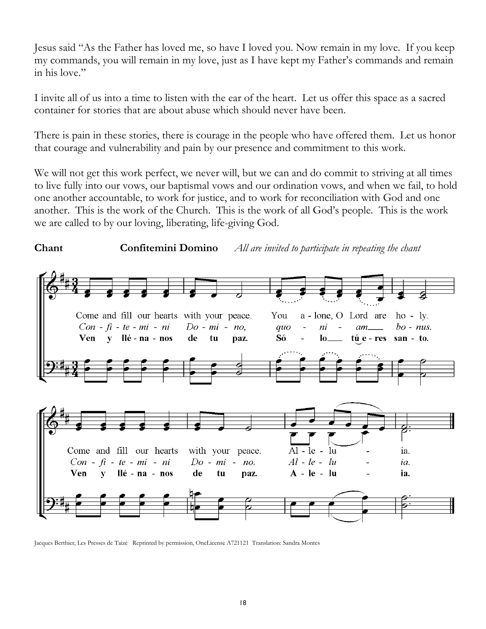Jesus said "As the Father has loved me, so have I loved you. Now remain in my love. If you keep my commands, you will remain in my love, just as I have kept my Father's commands and remain in his love."

I invite all of us into a time to listen with the ear of the heart. Let us offer this space as a sacred container for stories that are about abuse which should never have been.

There is pain in these stories, there is courage in the people who have offered them. Let us honor that courage and vulnerability and pain by our presence and commitment to this work.

We will not get this work perfect, we never will, but we can and do commit to striving at all times to live fully into our vows, our baptismal vows and our ordination vows, and when we fail, to hold one another accountable, to work for justice, and to work for reconciliation with God and one another. This is the work of the Church. This is the work of all God's people. This is the work we are called to by our loving, liberating, life-giving God.



Jacques Berthier, Les Presses de Taizé Reprinted by permission, OneLicense A721121 Translation: Sandra Montes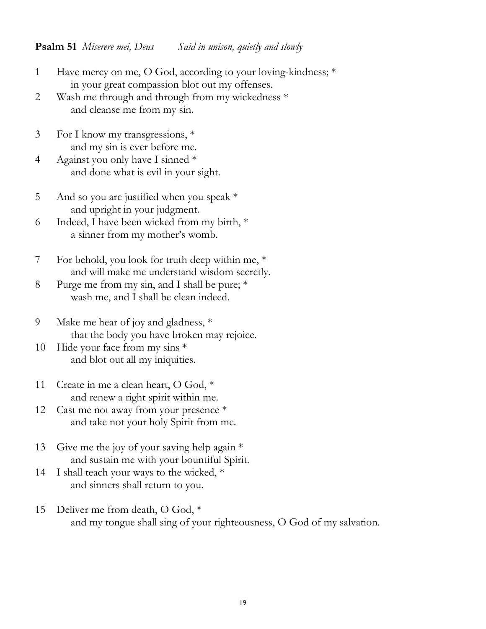#### **Psalm 51** *Miserere mei, Deus Said in unison, quietly and slowly*

- 1 Have mercy on me, O God, according to your loving-kindness; \* in your great compassion blot out my offenses.
- 2 Wash me through and through from my wickedness \* and cleanse me from my sin.
- 3 For I know my transgressions, \* and my sin is ever before me.
- 4 Against you only have I sinned \* and done what is evil in your sight.
- 5 And so you are justified when you speak  $*$ and upright in your judgment.
- 6 Indeed, I have been wicked from my birth, \* a sinner from my mother's womb.
- 7 For behold, you look for truth deep within me, \* and will make me understand wisdom secretly.
- 8 Purge me from my sin, and I shall be pure; \* wash me, and I shall be clean indeed.
- 9 Make me hear of joy and gladness, \* that the body you have broken may rejoice.
- 10 Hide your face from my sins \* and blot out all my iniquities.
- 11 Create in me a clean heart, O God, \* and renew a right spirit within me.
- 12 Cast me not away from your presence \* and take not your holy Spirit from me.
- 13 Give me the joy of your saving help again \* and sustain me with your bountiful Spirit.
- 14 I shall teach your ways to the wicked,  $*$ and sinners shall return to you.
- 15 Deliver me from death, O God, \* and my tongue shall sing of your righteousness, O God of my salvation.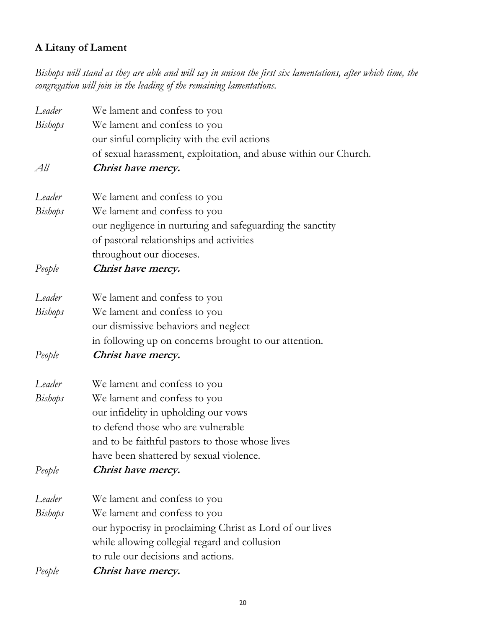# **A Litany of Lament**

*Bishops will stand as they are able and will say in unison the first six lamentations, after which time, the congregation will join in the leading of the remaining lamentations.* 

| Leader         | We lament and confess to you                                     |
|----------------|------------------------------------------------------------------|
| <b>Bishops</b> | We lament and confess to you                                     |
|                | our sinful complicity with the evil actions                      |
|                | of sexual harassment, exploitation, and abuse within our Church. |
| All            | Christ have mercy.                                               |
| Leader         | We lament and confess to you                                     |
| <b>Bishops</b> | We lament and confess to you                                     |
|                | our negligence in nurturing and safeguarding the sanctity        |
|                | of pastoral relationships and activities                         |
|                | throughout our dioceses.                                         |
| People         | Christ have mercy.                                               |
| Leader         | We lament and confess to you                                     |
| <b>Bishops</b> | We lament and confess to you                                     |
|                | our dismissive behaviors and neglect                             |
|                | in following up on concerns brought to our attention.            |
| People         | Christ have mercy.                                               |
| Leader         | We lament and confess to you                                     |
| <b>Bishops</b> | We lament and confess to you                                     |
|                | our infidelity in upholding our vows                             |
|                | to defend those who are vulnerable                               |
|                | and to be faithful pastors to those whose lives                  |
|                | have been shattered by sexual violence.                          |
| People         | Christ have mercy.                                               |
| Leader         | We lament and confess to you                                     |
| <b>Bishops</b> | We lament and confess to you                                     |
|                | our hypocrisy in proclaiming Christ as Lord of our lives         |
|                | while allowing collegial regard and collusion                    |
|                | to rule our decisions and actions.                               |
| People         | Christ have mercy.                                               |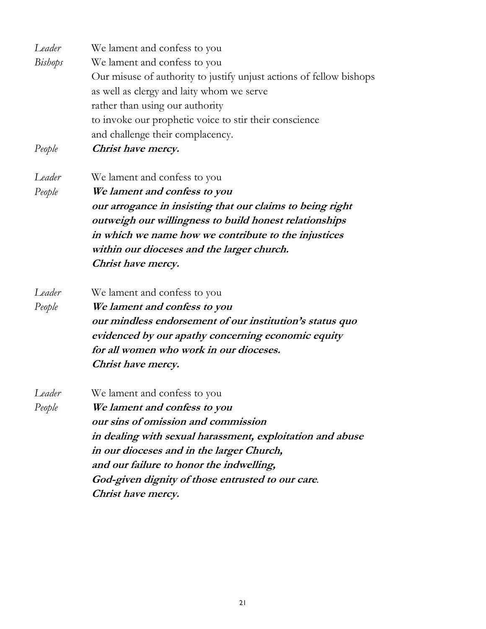| Leader<br><b>Bishops</b><br>People | We lament and confess to you<br>We lament and confess to you<br>Our misuse of authority to justify unjust actions of fellow bishops<br>as well as clergy and laity whom we serve<br>rather than using our authority<br>to invoke our prophetic voice to stir their conscience<br>and challenge their complacency.<br>Christ have mercy. |
|------------------------------------|-----------------------------------------------------------------------------------------------------------------------------------------------------------------------------------------------------------------------------------------------------------------------------------------------------------------------------------------|
| Leader<br>People                   | We lament and confess to you<br>We lament and confess to you<br>our arrogance in insisting that our claims to being right<br>outweigh our willingness to build honest relationships<br>in which we name how we contribute to the injustices<br>within our dioceses and the larger church.<br>Christ have mercy.                         |
| Leader<br>People                   | We lament and confess to you<br>We lament and confess to you<br>our mindless endorsement of our institution's status quo<br>evidenced by our apathy concerning economic equity<br>for all women who work in our dioceses.<br>Christ have mercy.                                                                                         |
| Leader<br>People                   | We lament and confess to you<br>We lament and confess to you<br>our sins of omission and commission<br>in dealing with sexual harassment, exploitation and abuse<br>in our dioceses and in the larger Church,<br>and our failure to honor the indwelling,<br>God-given dignity of those entrusted to our care.<br>Christ have mercy.    |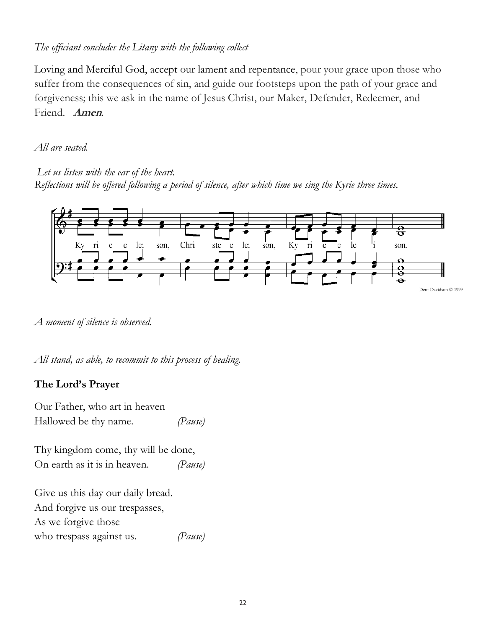# *The officiant concludes the Litany with the following collect*

Loving and Merciful God, accept our lament and repentance, pour your grace upon those who suffer from the consequences of sin, and guide our footsteps upon the path of your grace and forgiveness; this we ask in the name of Jesus Christ, our Maker, Defender, Redeemer, and Friend. **Amen**.

#### *All are seated.*

*Let us listen with the ear of the heart. Reflections will be offered following a period of silence, after which time we sing the Kyrie three times.* 



*A moment of silence is observed.*

*All stand, as able, to recommit to this process of healing.* 

# **The Lord's Prayer**

Our Father, who art in heaven Hallowed be thy name. *(Pause)*

Thy kingdom come, thy will be done, On earth as it is in heaven. *(Pause)*

Give us this day our daily bread. And forgive us our trespasses, As we forgive those who trespass against us. *(Pause)*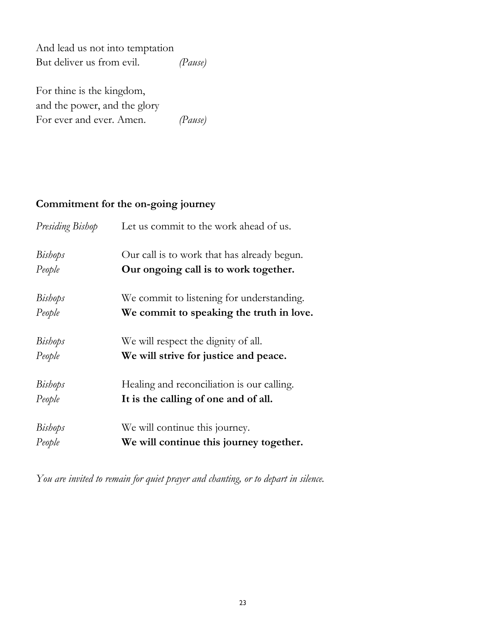And lead us not into temptation But deliver us from evil. *(Pause)*

For thine is the kingdom, and the power, and the glory For ever and ever. Amen. *(Pause)*

#### **Commitment for the on-going journey**

| Presiding Bishop | Let us commit to the work ahead of us.      |
|------------------|---------------------------------------------|
| <b>Bishops</b>   | Our call is to work that has already begun. |
| People           | Our ongoing call is to work together.       |
| <b>Bishops</b>   | We commit to listening for understanding.   |
| People           | We commit to speaking the truth in love.    |
| <b>Bishops</b>   | We will respect the dignity of all.         |
| People           | We will strive for justice and peace.       |
| <b>Bishops</b>   | Healing and reconciliation is our calling.  |
| People           | It is the calling of one and of all.        |
| <b>Bishops</b>   | We will continue this journey.              |
| People           | We will continue this journey together.     |

*You are invited to remain for quiet prayer and chanting, or to depart in silence.*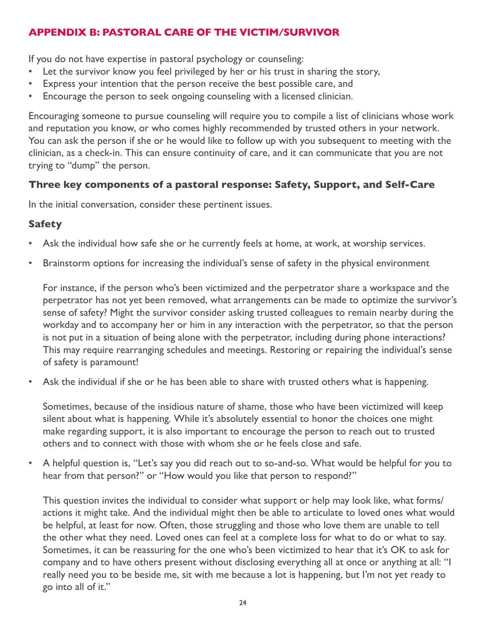# **APPENDIX B: PASTORAL CARE OF THE VICTIM/SURVIVOR**

If you do not have expertise in pastoral psychology or counseling:

- Let the survivor know you feel privileged by her or his trust in sharing the story,
- Express your intention that the person receive the best possible care, and
- Encourage the person to seek ongoing counseling with a licensed clinician.

Encouraging someone to pursue counseling will require you to compile a list of clinicians whose work and reputation you know, or who comes highly recommended by trusted others in your network. You can ask the person if she or he would like to follow up with you subsequent to meeting with the clinician, as a check-in. This can ensure continuity of care, and it can communicate that you are not trying to "dump" the person.

#### **Three key components of a pastoral response: Safety, Support, and Self-Care**

In the initial conversation, consider these pertinent issues.

#### **Safety**

- Ask the individual how safe she or he currently feels at home, at work, at worship services.
- Brainstorm options for increasing the individual's sense of safety in the physical environment

For instance, if the person who's been victimized and the perpetrator share a workspace and the perpetrator has not yet been removed, what arrangements can be made to optimize the survivor's sense of safety? Might the survivor consider asking trusted colleagues to remain nearby during the workday and to accompany her or him in any interaction with the perpetrator, so that the person is not put in a situation of being alone with the perpetrator, including during phone interactions? This may require rearranging schedules and meetings. Restoring or repairing the individual's sense of safety is paramount!

Ask the individual if she or he has been able to share with trusted others what is happening.

Sometimes, because of the insidious nature of shame, those who have been victimized will keep silent about what is happening. While it's absolutely essential to honor the choices one might make regarding support, it is also important to encourage the person to reach out to trusted others and to connect with those with whom she or he feels close and safe.

• A helpful question is, "Let's say you did reach out to so-and-so. What would be helpful for you to hear from that person?" or "How would you like that person to respond?"

This question invites the individual to consider what support or help may look like, what forms/ actions it might take. And the individual might then be able to articulate to loved ones what would be helpful, at least for now. Often, those struggling and those who love them are unable to tell the other what they need. Loved ones can feel at a complete loss for what to do or what to say. Sometimes, it can be reassuring for the one who's been victimized to hear that it's OK to ask for company and to have others present without disclosing everything all at once or anything at all: "I really need you to be beside me, sit with me because a lot is happening, but I'm not yet ready to go into all of it."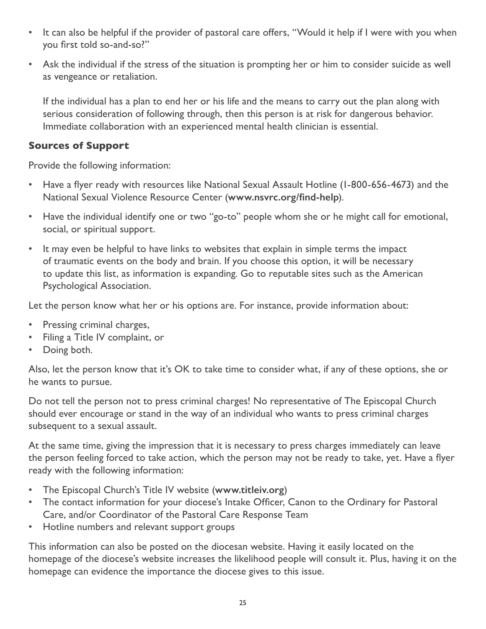- It can also be helpful if the provider of pastoral care offers, "Would it help if I were with you when you first told so-and-so?"
- Ask the individual if the stress of the situation is prompting her or him to consider suicide as well as vengeance or retaliation.

If the individual has a plan to end her or his life and the means to carry out the plan along with serious consideration of following through, then this person is at risk for dangerous behavior. Immediate collaboration with an experienced mental health clinician is essential.

#### **Sources of Support**

Provide the following information:

- Have a flyer ready with resources like National Sexual Assault Hotline (1-800-656-4673) and the National Sexual Violence Resource Center (**[www.nsvrc.org/find-help](https://www.nsvrc.org/find-help)**).
- Have the individual identify one or two "go-to" people whom she or he might call for emotional, social, or spiritual support.
- It may even be helpful to have links to websites that explain in simple terms the impact of traumatic events on the body and brain. If you choose this option, it will be necessary to update this list, as information is expanding. Go to reputable sites such as the American Psychological Association.

Let the person know what her or his options are. For instance, provide information about:

- Pressing criminal charges,
- Filing a Title IV complaint, or
- Doing both.

Also, let the person know that it's OK to take time to consider what, if any of these options, she or he wants to pursue.

Do not tell the person not to press criminal charges! No representative of The Episcopal Church should ever encourage or stand in the way of an individual who wants to press criminal charges subsequent to a sexual assault.

At the same time, giving the impression that it is necessary to press charges immediately can leave the person feeling forced to take action, which the person may not be ready to take, yet. Have a flyer ready with the following information:

- The Episcopal Church's Title IV website (**[www.titleiv.org](http://www.titleiv.org)**)
- The contact information for your diocese's Intake Officer, Canon to the Ordinary for Pastoral Care, and/or Coordinator of the Pastoral Care Response Team
- Hotline numbers and relevant support groups

This information can also be posted on the diocesan website. Having it easily located on the homepage of the diocese's website increases the likelihood people will consult it. Plus, having it on the homepage can evidence the importance the diocese gives to this issue.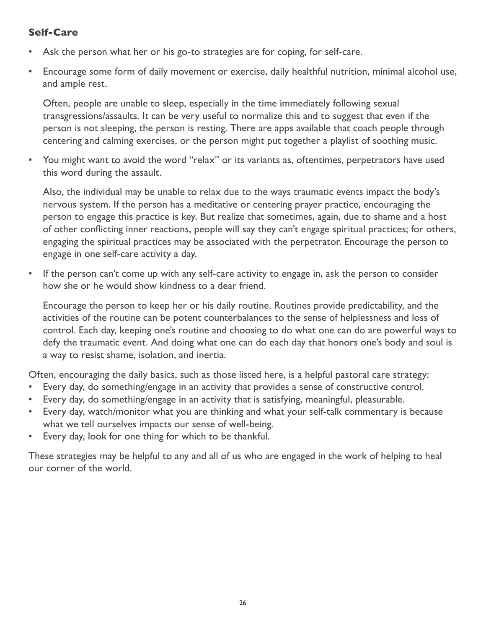#### **Self-Care**

- Ask the person what her or his go-to strategies are for coping, for self-care.
- Encourage some form of daily movement or exercise, daily healthful nutrition, minimal alcohol use, and ample rest.

Often, people are unable to sleep, especially in the time immediately following sexual transgressions/assaults. It can be very useful to normalize this and to suggest that even if the person is not sleeping, the person is resting. There are apps available that coach people through centering and calming exercises, or the person might put together a playlist of soothing music.

• You might want to avoid the word "relax" or its variants as, oftentimes, perpetrators have used this word during the assault.

Also, the individual may be unable to relax due to the ways traumatic events impact the body's nervous system. If the person has a meditative or centering prayer practice, encouraging the person to engage this practice is key. But realize that sometimes, again, due to shame and a host of other conflicting inner reactions, people will say they can't engage spiritual practices; for others, engaging the spiritual practices may be associated with the perpetrator. Encourage the person to engage in one self-care activity a day.

• If the person can't come up with any self-care activity to engage in, ask the person to consider how she or he would show kindness to a dear friend.

Encourage the person to keep her or his daily routine. Routines provide predictability, and the activities of the routine can be potent counterbalances to the sense of helplessness and loss of control. Each day, keeping one's routine and choosing to do what one can do are powerful ways to defy the traumatic event. And doing what one can do each day that honors one's body and soul is a way to resist shame, isolation, and inertia.

Often, encouraging the daily basics, such as those listed here, is a helpful pastoral care strategy:

- Every day, do something/engage in an activity that provides a sense of constructive control.
- Every day, do something/engage in an activity that is satisfying, meaningful, pleasurable.
- Every day, watch/monitor what you are thinking and what your self-talk commentary is because what we tell ourselves impacts our sense of well-being.
- Every day, look for one thing for which to be thankful.

These strategies may be helpful to any and all of us who are engaged in the work of helping to heal our corner of the world.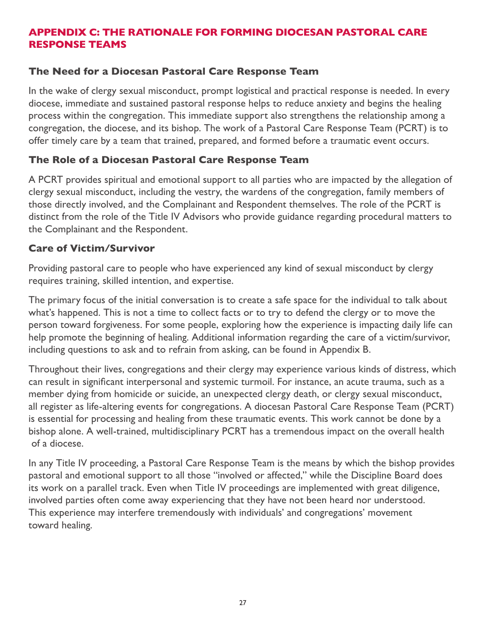# **APPENDIX C: THE RATIONALE FOR FORMING DIOCESAN PASTORAL CARE RESPONSE TEAMS**

#### **The Need for a Diocesan Pastoral Care Response Team**

In the wake of clergy sexual misconduct, prompt logistical and practical response is needed. In every diocese, immediate and sustained pastoral response helps to reduce anxiety and begins the healing process within the congregation. This immediate support also strengthens the relationship among a congregation, the diocese, and its bishop. The work of a Pastoral Care Response Team (PCRT) is to offer timely care by a team that trained, prepared, and formed before a traumatic event occurs.

#### **The Role of a Diocesan Pastoral Care Response Team**

A PCRT provides spiritual and emotional support to all parties who are impacted by the allegation of clergy sexual misconduct, including the vestry, the wardens of the congregation, family members of those directly involved, and the Complainant and Respondent themselves. The role of the PCRT is distinct from the role of the Title IV Advisors who provide guidance regarding procedural matters to the Complainant and the Respondent.

#### **Care of Victim/Survivor**

Providing pastoral care to people who have experienced any kind of sexual misconduct by clergy requires training, skilled intention, and expertise.

The primary focus of the initial conversation is to create a safe space for the individual to talk about what's happened. This is not a time to collect facts or to try to defend the clergy or to move the person toward forgiveness. For some people, exploring how the experience is impacting daily life can help promote the beginning of healing. Additional information regarding the care of a victim/survivor, including questions to ask and to refrain from asking, can be found in Appendix B.

Throughout their lives, congregations and their clergy may experience various kinds of distress, which can result in significant interpersonal and systemic turmoil. For instance, an acute trauma, such as a member dying from homicide or suicide, an unexpected clergy death, or clergy sexual misconduct, all register as life-altering events for congregations. A diocesan Pastoral Care Response Team (PCRT) is essential for processing and healing from these traumatic events. This work cannot be done by a bishop alone. A well-trained, multidisciplinary PCRT has a tremendous impact on the overall health of a diocese.

In any Title IV proceeding, a Pastoral Care Response Team is the means by which the bishop provides pastoral and emotional support to all those "involved or affected," while the Discipline Board does its work on a parallel track. Even when Title IV proceedings are implemented with great diligence, involved parties often come away experiencing that they have not been heard nor understood. This experience may interfere tremendously with individuals' and congregations' movement toward healing.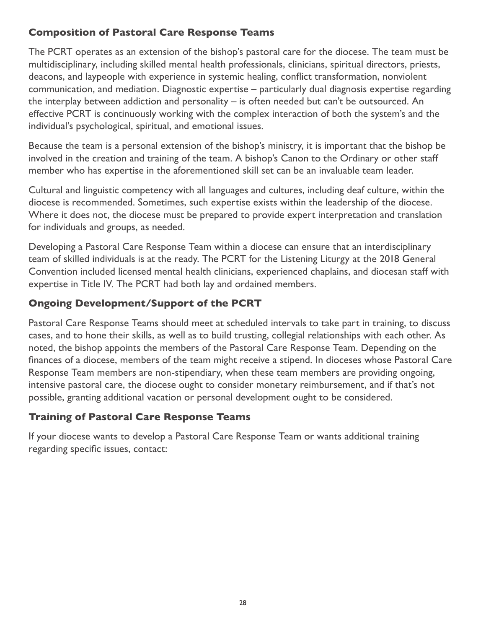# **Composition of Pastoral Care Response Teams**

The PCRT operates as an extension of the bishop's pastoral care for the diocese. The team must be multidisciplinary, including skilled mental health professionals, clinicians, spiritual directors, priests, deacons, and laypeople with experience in systemic healing, conflict transformation, nonviolent communication, and mediation. Diagnostic expertise – particularly dual diagnosis expertise regarding the interplay between addiction and personality – is often needed but can't be outsourced. An effective PCRT is continuously working with the complex interaction of both the system's and the individual's psychological, spiritual, and emotional issues.

Because the team is a personal extension of the bishop's ministry, it is important that the bishop be involved in the creation and training of the team. A bishop's Canon to the Ordinary or other staff member who has expertise in the aforementioned skill set can be an invaluable team leader.

Cultural and linguistic competency with all languages and cultures, including deaf culture, within the diocese is recommended. Sometimes, such expertise exists within the leadership of the diocese. Where it does not, the diocese must be prepared to provide expert interpretation and translation for individuals and groups, as needed.

Developing a Pastoral Care Response Team within a diocese can ensure that an interdisciplinary team of skilled individuals is at the ready. The PCRT for the Listening Liturgy at the 2018 General Convention included licensed mental health clinicians, experienced chaplains, and diocesan staff with expertise in Title IV. The PCRT had both lay and ordained members.

# **Ongoing Development/Support of the PCRT**

Pastoral Care Response Teams should meet at scheduled intervals to take part in training, to discuss cases, and to hone their skills, as well as to build trusting, collegial relationships with each other. As noted, the bishop appoints the members of the Pastoral Care Response Team. Depending on the finances of a diocese, members of the team might receive a stipend. In dioceses whose Pastoral Care Response Team members are non-stipendiary, when these team members are providing ongoing, intensive pastoral care, the diocese ought to consider monetary reimbursement, and if that's not possible, granting additional vacation or personal development ought to be considered.

#### **Training of Pastoral Care Response Teams**

If your diocese wants to develop a Pastoral Care Response Team or wants additional training regarding specific issues, contact: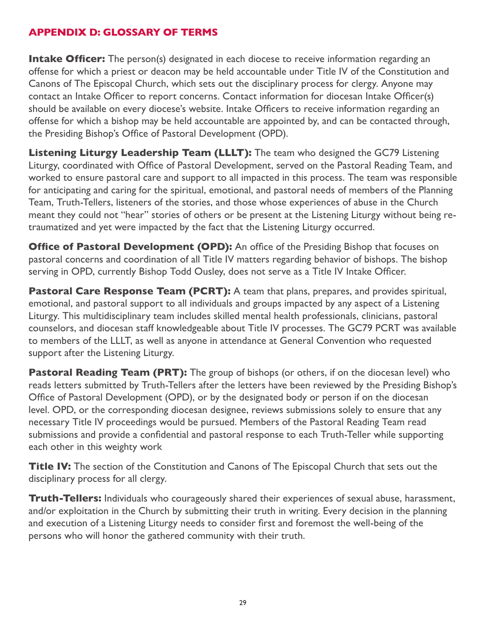#### **APPENDIX D: GLOSSARY OF TERMS**

**Intake Officer:** The person(s) designated in each diocese to receive information regarding an offense for which a priest or deacon may be held accountable under Title IV of the Constitution and Canons of The Episcopal Church, which sets out the disciplinary process for clergy. Anyone may contact an Intake Officer to report concerns. Contact information for diocesan Intake Officer(s) should be available on every diocese's website. Intake Officers to receive information regarding an offense for which a bishop may be held accountable are appointed by, and can be contacted through, the Presiding Bishop's Office of Pastoral Development (OPD).

**Listening Liturgy Leadership Team (LLLT):** The team who designed the GC79 Listening Liturgy, coordinated with Office of Pastoral Development, served on the Pastoral Reading Team, and worked to ensure pastoral care and support to all impacted in this process. The team was responsible for anticipating and caring for the spiritual, emotional, and pastoral needs of members of the Planning Team, Truth-Tellers, listeners of the stories, and those whose experiences of abuse in the Church meant they could not "hear" stories of others or be present at the Listening Liturgy without being retraumatized and yet were impacted by the fact that the Listening Liturgy occurred.

**Office of Pastoral Development (OPD):** An office of the Presiding Bishop that focuses on pastoral concerns and coordination of all Title IV matters regarding behavior of bishops. The bishop serving in OPD, currently Bishop Todd Ousley, does not serve as a Title IV Intake Officer.

**Pastoral Care Response Team (PCRT):** A team that plans, prepares, and provides spiritual, emotional, and pastoral support to all individuals and groups impacted by any aspect of a Listening Liturgy. This multidisciplinary team includes skilled mental health professionals, clinicians, pastoral counselors, and diocesan staff knowledgeable about Title IV processes. The GC79 PCRT was available to members of the LLLT, as well as anyone in attendance at General Convention who requested support after the Listening Liturgy.

**Pastoral Reading Team (PRT):** The group of bishops (or others, if on the diocesan level) who reads letters submitted by Truth-Tellers after the letters have been reviewed by the Presiding Bishop's Office of Pastoral Development (OPD), or by the designated body or person if on the diocesan level. OPD, or the corresponding diocesan designee, reviews submissions solely to ensure that any necessary Title IV proceedings would be pursued. Members of the Pastoral Reading Team read submissions and provide a confidential and pastoral response to each Truth-Teller while supporting each other in this weighty work

**Title IV:** The section of the Constitution and Canons of The Episcopal Church that sets out the disciplinary process for all clergy.

**Truth-Tellers:** Individuals who courageously shared their experiences of sexual abuse, harassment, and/or exploitation in the Church by submitting their truth in writing. Every decision in the planning and execution of a Listening Liturgy needs to consider first and foremost the well-being of the persons who will honor the gathered community with their truth.